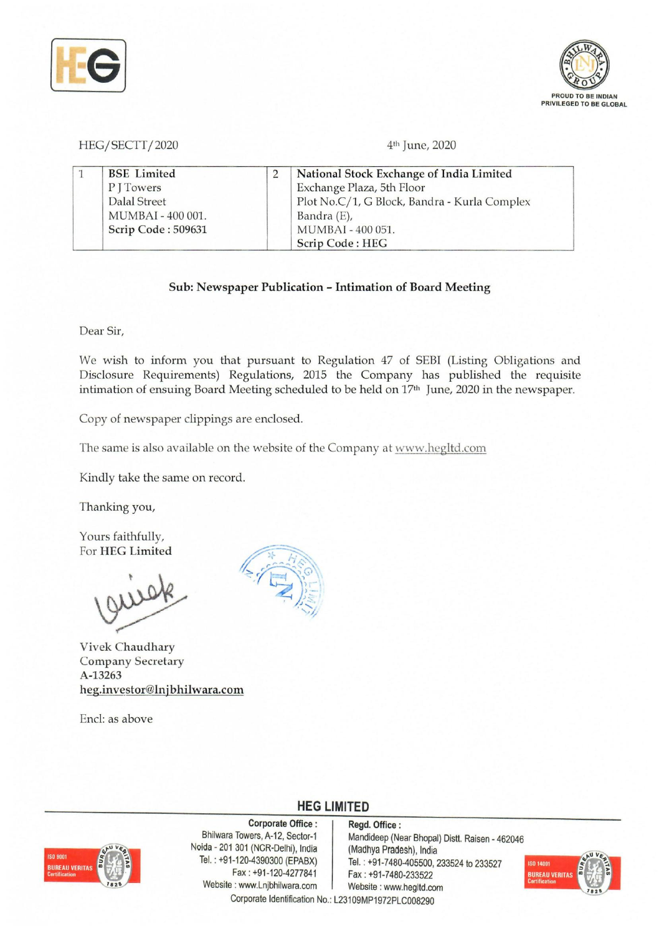



HEG/SECTT/2020 4<sup>th</sup> June, 2020

| <b>BSE</b> Limited | National Stock Exchange of India Limited     |  |
|--------------------|----------------------------------------------|--|
| PITowers           | Exchange Plaza, 5th Floor                    |  |
| Dalal Street       | Plot No.C/1, G Block, Bandra - Kurla Complex |  |
| MUMBAI - 400 001.  | Bandra (E),                                  |  |
| Scrip Code: 509631 | MUMBAI - 400 051.                            |  |
|                    | Scrip Code: HEG                              |  |

## Sub: Newspaper Publication - Intimation of Board Meeting

Dear Sir,

We wish to inform you that pursuant to Regulation 47 of SEBI (Listing Obligations and Disclosure Requirements) Regulations, 2015 the Company has published the requisite intimation of ensuing Board Meeting scheduled to be held on 17<sup>th</sup> June, 2020 in the newspaper.

Copy of newspaper clippings are enclosed.

The same is also available on the website of the Company at www.hegltd.com

Kindly take the same on record.

Thanking you,

Yours faithfully, For HEG Limited

Vivek Chaudhary Company Secretary A-13263 heg.investor@lnjbhilwara.com

Encl: as above



## **ISO 9001 BUREAU VERITI**

Corporate Office: Regd. Office:<br>Bhilwara Towers, A-12, Sector-1 Mandideep (Ne Noida - 201 301 (NCR-Delhi), India (Madhya PradeSh), India Website: www.Lnjbhilwara.com | Website: www.hegltd.com

Mandideep (Near Bhopal) Distt. Raisen - 462046  $T=120-4390300$  (EPABX)  $\begin{array}{|l|} \hline \text{Te} & \text{Te} & \text{Te} \\ \hline \text{Te} & \text{Te} & \text{Te} \\ \hline \text{Te} & \text{Te} & \text{Te} \\ \hline \end{array}$ Fax: +91-7480-233522



Corporate Identification No.: L23109MP1972PLC008290

**HEG LIMITED**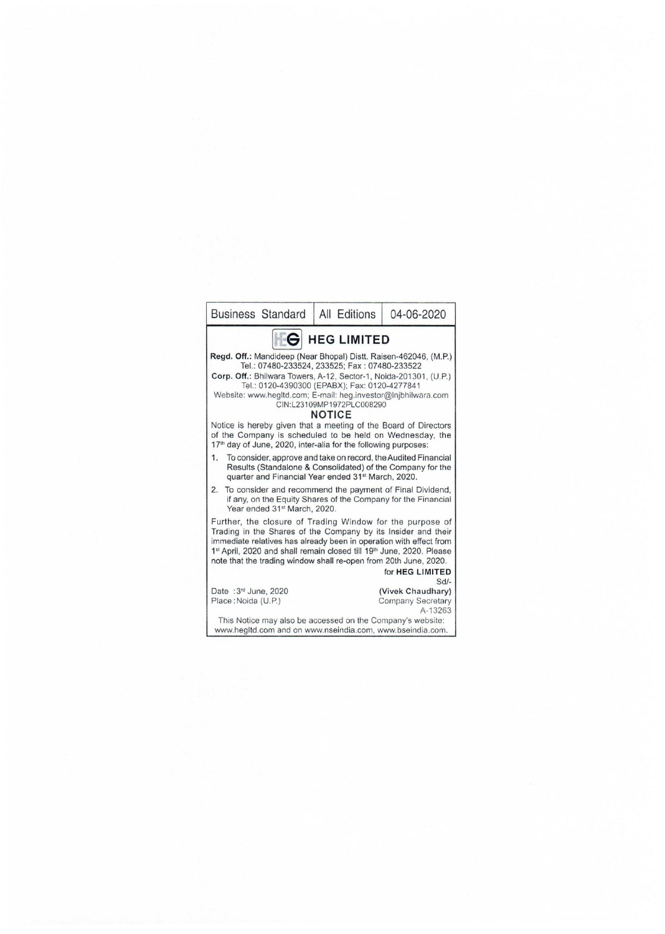| <b>Business Standard</b>                                                                                                                                                                                                                                                                                                                                                                                                                                                              | All Editions | 04-06-2020                                        |  |  |  |  |
|---------------------------------------------------------------------------------------------------------------------------------------------------------------------------------------------------------------------------------------------------------------------------------------------------------------------------------------------------------------------------------------------------------------------------------------------------------------------------------------|--------------|---------------------------------------------------|--|--|--|--|
| <b>G</b> HEG LIMITED                                                                                                                                                                                                                                                                                                                                                                                                                                                                  |              |                                                   |  |  |  |  |
| Regd. Off.: Mandideep (Near Bhopal) Distt. Raisen-462046, (M.P.)<br>Tel.: 07480-233524, 233525; Fax: 07480-233522<br>Corp. Off.: Bhilwara Towers, A-12, Sector-1, Noida-201301, (U.P.)<br>Tel.: 0120-4390300 (EPABX); Fax: 0120-4277841<br>Website: www.hegltd.com; E-mail: heg.investor@Injbhilwara.com<br>CIN:L23109MP1972PLC008290<br><b>NOTICE</b><br>Notice is hereby given that a meeting of the Board of Directors<br>of the Company is scheduled to be held on Wednesday, the |              |                                                   |  |  |  |  |
| 17 <sup>th</sup> day of June, 2020, inter-alia for the following purposes:<br>To consider, approve and take on record, the Audited Financial<br>1.<br>Results (Standalone & Consolidated) of the Company for the<br>quarter and Financial Year ended 31 <sup>st</sup> March, 2020.                                                                                                                                                                                                    |              |                                                   |  |  |  |  |
| To consider and recommend the payment of Final Dividend,<br>2.<br>if any, on the Equity Shares of the Company for the Financial<br>Year ended 31 <sup>st</sup> March, 2020.                                                                                                                                                                                                                                                                                                           |              |                                                   |  |  |  |  |
| Further, the closure of Trading Window for the purpose of<br>Trading in the Shares of the Company by its Insider and their<br>immediate relatives has already been in operation with effect from<br>1st April, 2020 and shall remain closed till 19th June, 2020. Please<br>note that the trading window shall re-open from 20th June, 2020.                                                                                                                                          |              |                                                   |  |  |  |  |
|                                                                                                                                                                                                                                                                                                                                                                                                                                                                                       |              | for HEG LIMITED<br>$Sd$ -                         |  |  |  |  |
| Date: 3rd June, 2020<br>Place: Noida (U.P.)                                                                                                                                                                                                                                                                                                                                                                                                                                           |              | (Vivek Chaudhary)<br>Company Secretary<br>A-13263 |  |  |  |  |
| This Notice may also be accessed on the Company's website:<br>www.hegltd.com and on www.nseindia.com, www.bseindia.com.                                                                                                                                                                                                                                                                                                                                                               |              |                                                   |  |  |  |  |